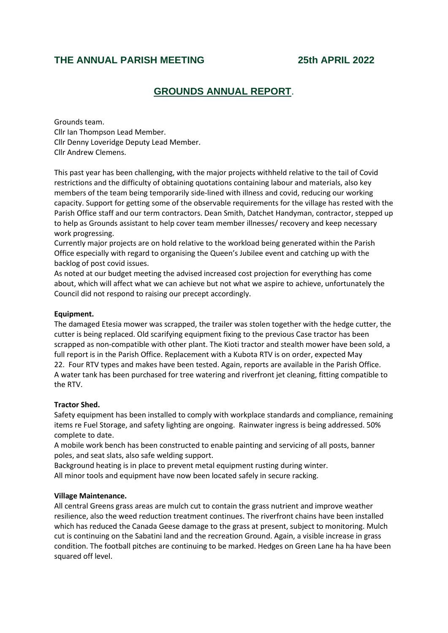# **THE ANNUAL PARISH MEETING 25th APRIL 2022**

# **GROUNDS ANNUAL REPORT**.

Grounds team. Cllr Ian Thompson Lead Member. Cllr Denny Loveridge Deputy Lead Member. Cllr Andrew Clemens.

This past year has been challenging, with the major projects withheld relative to the tail of Covid restrictions and the difficulty of obtaining quotations containing labour and materials, also key members of the team being temporarily side-lined with illness and covid, reducing our working capacity. Support for getting some of the observable requirements for the village has rested with the Parish Office staff and our term contractors. Dean Smith, Datchet Handyman, contractor, stepped up to help as Grounds assistant to help cover team member illnesses/ recovery and keep necessary work progressing.

Currently major projects are on hold relative to the workload being generated within the Parish Office especially with regard to organising the Queen's Jubilee event and catching up with the backlog of post covid issues.

As noted at our budget meeting the advised increased cost projection for everything has come about, which will affect what we can achieve but not what we aspire to achieve, unfortunately the Council did not respond to raising our precept accordingly.

## **Equipment.**

The damaged Etesia mower was scrapped, the trailer was stolen together with the hedge cutter, the cutter is being replaced. Old scarifying equipment fixing to the previous Case tractor has been scrapped as non-compatible with other plant. The Kioti tractor and stealth mower have been sold, a full report is in the Parish Office. Replacement with a Kubota RTV is on order, expected May 22. Four RTV types and makes have been tested. Again, reports are available in the Parish Office. A water tank has been purchased for tree watering and riverfront jet cleaning, fitting compatible to the RTV.

#### **Tractor Shed.**

Safety equipment has been installed to comply with workplace standards and compliance, remaining items re Fuel Storage, and safety lighting are ongoing. Rainwater ingress is being addressed. 50% complete to date.

A mobile work bench has been constructed to enable painting and servicing of all posts, banner poles, and seat slats, also safe welding support.

Background heating is in place to prevent metal equipment rusting during winter. All minor tools and equipment have now been located safely in secure racking.

#### **Village Maintenance.**

All central Greens grass areas are mulch cut to contain the grass nutrient and improve weather resilience, also the weed reduction treatment continues. The riverfront chains have been installed which has reduced the Canada Geese damage to the grass at present, subject to monitoring. Mulch cut is continuing on the Sabatini land and the recreation Ground. Again, a visible increase in grass condition. The football pitches are continuing to be marked. Hedges on Green Lane ha ha have been squared off level.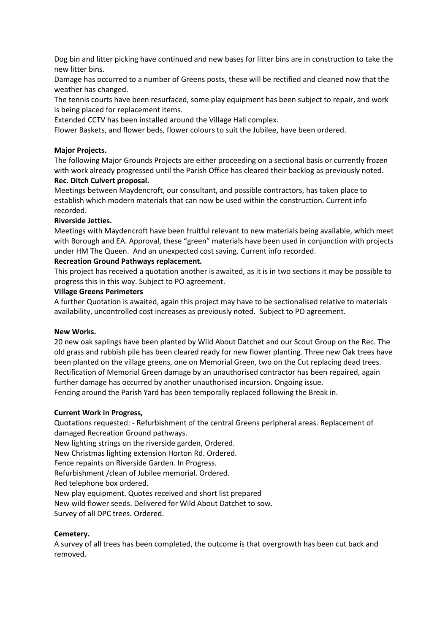Dog bin and litter picking have continued and new bases for litter bins are in construction to take the new litter bins.

Damage has occurred to a number of Greens posts, these will be rectified and cleaned now that the weather has changed.

The tennis courts have been resurfaced, some play equipment has been subject to repair, and work is being placed for replacement items.

Extended CCTV has been installed around the Village Hall complex.

Flower Baskets, and flower beds, flower colours to suit the Jubilee, have been ordered.

# **Major Projects.**

The following Major Grounds Projects are either proceeding on a sectional basis or currently frozen with work already progressed until the Parish Office has cleared their backlog as previously noted. **Rec. Ditch Culvert proposal.**

Meetings between Maydencroft, our consultant, and possible contractors, has taken place to establish which modern materials that can now be used within the construction. Current info recorded.

# **Riverside Jetties.**

Meetings with Maydencroft have been fruitful relevant to new materials being available, which meet with Borough and EA. Approval, these "green" materials have been used in conjunction with projects under HM The Queen. And an unexpected cost saving. Current info recorded.

# **Recreation Ground Pathways replacement.**

This project has received a quotation another is awaited, as it is in two sections it may be possible to progress this in this way. Subject to PO agreement.

# **Village Greens Perimeters**

A further Quotation is awaited, again this project may have to be sectionalised relative to materials availability, uncontrolled cost increases as previously noted. Subject to PO agreement.

# **New Works.**

20 new oak saplings have been planted by Wild About Datchet and our Scout Group on the Rec. The old grass and rubbish pile has been cleared ready for new flower planting. Three new Oak trees have been planted on the village greens, one on Memorial Green, two on the Cut replacing dead trees. Rectification of Memorial Green damage by an unauthorised contractor has been repaired, again further damage has occurred by another unauthorised incursion. Ongoing issue. Fencing around the Parish Yard has been temporally replaced following the Break in.

# **Current Work in Progress,**

Quotations requested: - Refurbishment of the central Greens peripheral areas. Replacement of damaged Recreation Ground pathways.

New lighting strings on the riverside garden, Ordered.

New Christmas lighting extension Horton Rd. Ordered.

Fence repaints on Riverside Garden. In Progress.

Refurbishment /clean of Jubilee memorial. Ordered.

Red telephone box ordered.

New play equipment. Quotes received and short list prepared

New wild flower seeds. Delivered for Wild About Datchet to sow.

Survey of all DPC trees. Ordered.

# **Cemetery.**

A survey of all trees has been completed, the outcome is that overgrowth has been cut back and removed.